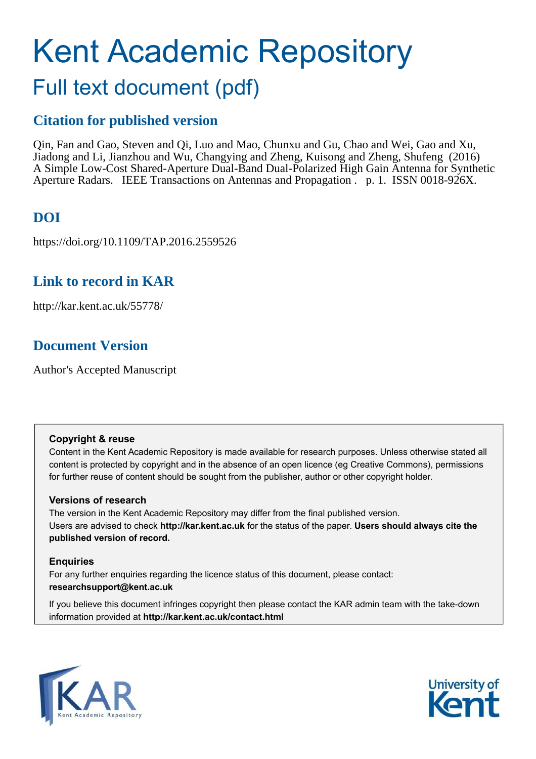# Kent Academic Repository

# Full text document (pdf)

## **Citation for published version**

Qin, Fan and Gao, Steven and Qi, Luo and Mao, Chunxu and Gu, Chao and Wei, Gao and Xu, Jiadong and Li, Jianzhou and Wu, Changying and Zheng, Kuisong and Zheng, Shufeng (2016) A Simple Low-Cost Shared-Aperture Dual-Band Dual-Polarized High Gain Antenna for Synthetic Aperture Radars. IEEE Transactions on Antennas and Propagation . p. 1. ISSN 0018-926X.

## **DOI**

https://doi.org/10.1109/TAP.2016.2559526

## **Link to record in KAR**

http://kar.kent.ac.uk/55778/

## **Document Version**

Author's Accepted Manuscript

#### **Copyright & reuse**

Content in the Kent Academic Repository is made available for research purposes. Unless otherwise stated all content is protected by copyright and in the absence of an open licence (eg Creative Commons), permissions for further reuse of content should be sought from the publisher, author or other copyright holder.

#### **Versions of research**

The version in the Kent Academic Repository may differ from the final published version. Users are advised to check **http://kar.kent.ac.uk** for the status of the paper. **Users should always cite the published version of record.**

#### **Enquiries**

For any further enquiries regarding the licence status of this document, please contact: **researchsupport@kent.ac.uk**

If you believe this document infringes copyright then please contact the KAR admin team with the take-down information provided at **http://kar.kent.ac.uk/contact.html**



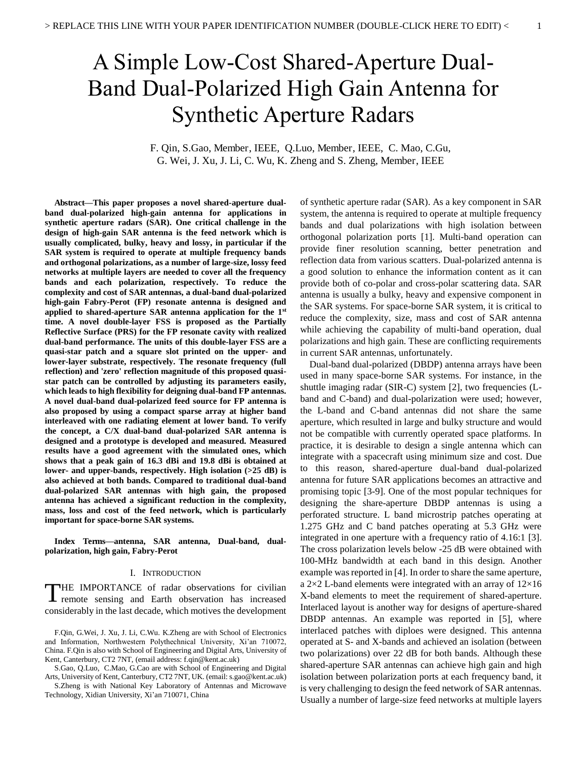## A Simple Low-Cost Shared-Aperture Dual-Band Dual-Polarized High Gain Antenna for Synthetic Aperture Radars

F. Qin, S.Gao, Member, IEEE, Q.Luo, Member, IEEE, C. Mao, C.Gu, G. Wei, J. Xu, J. Li, C. Wu, K. Zheng and S. Zheng, Member, IEEE

**Abstract—This paper proposes a novel shared-aperture dualband dual-polarized high-gain antenna for applications in synthetic aperture radars (SAR). One critical challenge in the design of high-gain SAR antenna is the feed network which is usually complicated, bulky, heavy and lossy, in particular if the SAR system is required to operate at multiple frequency bands and orthogonal polarizations, as a number of large-size, lossy feed networks at multiple layers are needed to cover all the frequency bands and each polarization, respectively. To reduce the complexity and cost of SAR antennas, a dual-band dual-polarized high-gain Fabry-Perot (FP) resonate antenna is designed and applied to shared-aperture SAR antenna application for the 1st time. A novel double-layer FSS is proposed as the Partially Reflective Surface (PRS) for the FP resonate cavity with realized dual-band performance. The units of this double-layer FSS are a quasi-star patch and a square slot printed on the upper- and lower-layer substrate, respectively. The resonate frequency (full reflection) and 'zero' reflection magnitude of this proposed quasistar patch can be controlled by adjusting its parameters easily, which leads to high flexibility for deigning dual-band FP antennas. A novel dual-band dual-polarized feed source for FP antenna is also proposed by using a compact sparse array at higher band interleaved with one radiating element at lower band. To verify the concept, a C/X dual-band dual-polarized SAR antenna is designed and a prototype is developed and measured. Measured results have a good agreement with the simulated ones, which shows that a peak gain of 16.3 dBi and 19.8 dBi is obtained at lower- and upper-bands, respectively. High isolation (>25 dB) is also achieved at both bands. Compared to traditional dual-band dual-polarized SAR antennas with high gain, the proposed antenna has achieved a significant reduction in the complexity, mass, loss and cost of the feed network, which is particularly important for space-borne SAR systems.** 

**Index Terms—antenna, SAR antenna, Dual-band, dualpolarization, high gain, Fabry-Perot** 

#### I. INTRODUCTION

HE IMPORTANCE of radar observations for civilian THE IMPORTANCE of radar observations for civilian<br>remote sensing and Earth observation has increased considerably in the last decade, which motives the development

 S.Zheng is with National Key Laboratory of Antennas and Microwave Technology, Xidian University, Xi'an 710071, China

of synthetic aperture radar (SAR). As a key component in SAR system, the antenna is required to operate at multiple frequency bands and dual polarizations with high isolation between orthogonal polarization ports [1]. Multi-band operation can provide finer resolution scanning, better penetration and reflection data from various scatters. Dual-polarized antenna is a good solution to enhance the information content as it can provide both of co-polar and cross-polar scattering data. SAR antenna is usually a bulky, heavy and expensive component in the SAR systems. For space-borne SAR system, it is critical to reduce the complexity, size, mass and cost of SAR antenna while achieving the capability of multi-band operation, dual polarizations and high gain. These are conflicting requirements in current SAR antennas, unfortunately.

Dual-band dual-polarized (DBDP) antenna arrays have been used in many space-borne SAR systems. For instance, in the shuttle imaging radar (SIR-C) system [2], two frequencies (Lband and C-band) and dual-polarization were used; however, the L-band and C-band antennas did not share the same aperture, which resulted in large and bulky structure and would not be compatible with currently operated space platforms. In practice, it is desirable to design a single antenna which can integrate with a spacecraft using minimum size and cost. Due to this reason, shared-aperture dual-band dual-polarized antenna for future SAR applications becomes an attractive and promising topic [3-9]. One of the most popular techniques for designing the share-aperture DBDP antennas is using a perforated structure. L band microstrip patches operating at 1.275 GHz and C band patches operating at 5.3 GHz were integrated in one aperture with a frequency ratio of 4.16:1 [3]. The cross polarization levels below -25 dB were obtained with 100-MHz bandwidth at each band in this design. Another example was reported in [4]. In order to share the same aperture, a  $2\times2$  L-band elements were integrated with an array of  $12\times16$ X-band elements to meet the requirement of shared-aperture. Interlaced layout is another way for designs of aperture-shared DBDP antennas. An example was reported in [5], where interlaced patches with diploes were designed. This antenna operated at S- and X-bands and achieved an isolation (between two polarizations) over 22 dB for both bands. Although these shared-aperture SAR antennas can achieve high gain and high isolation between polarization ports at each frequency band, it is very challenging to design the feed network of SAR antennas. Usually a number of large-size feed networks at multiple layers

F.Qin, G.Wei, J. Xu, J. Li, C.Wu. K.Zheng are with School of Electronics and Information, Northwestern Polythechnical University, Xi'an 710072, China. F.Qin is also with School of Engineering and Digital Arts, University of Kent, Canterbury, CT2 7NT, (email address: f.qin@kent.ac.uk)

S.Gao, Q.Luo, C.Mao, G.Cao are with School of Engineering and Digital Arts, University of Kent, Canterbury, CT2 7NT, UK. (email: s.gao@kent.ac.uk)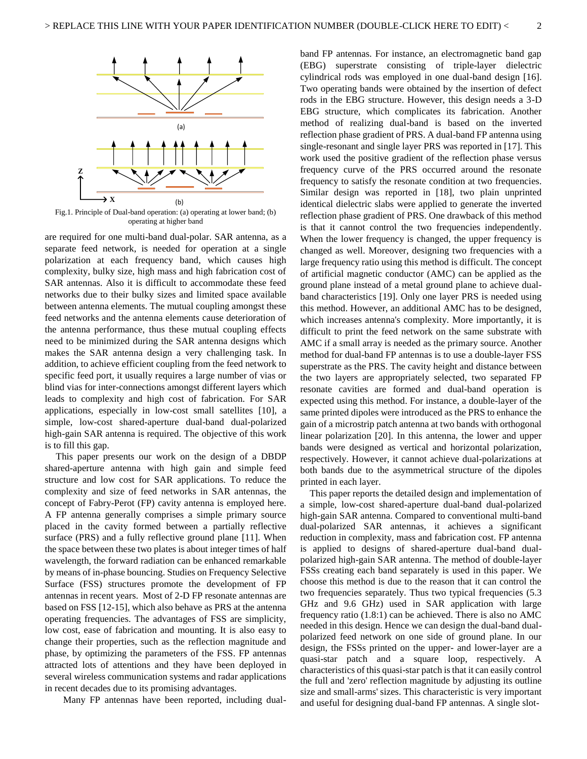

Fig.1. Principle of Dual-band operation: (a) operating at lower band; (b) operating at higher band

are required for one multi-band dual-polar. SAR antenna, as a separate feed network, is needed for operation at a single polarization at each frequency band, which causes high complexity, bulky size, high mass and high fabrication cost of SAR antennas. Also it is difficult to accommodate these feed networks due to their bulky sizes and limited space available between antenna elements. The mutual coupling amongst these feed networks and the antenna elements cause deterioration of the antenna performance, thus these mutual coupling effects need to be minimized during the SAR antenna designs which makes the SAR antenna design a very challenging task. In addition, to achieve efficient coupling from the feed network to specific feed port, it usually requires a large number of vias or blind vias for inter-connections amongst different layers which leads to complexity and high cost of fabrication. For SAR applications, especially in low-cost small satellites [10], a simple, low-cost shared-aperture dual-band dual-polarized high-gain SAR antenna is required. The objective of this work is to fill this gap.

This paper presents our work on the design of a DBDP shared-aperture antenna with high gain and simple feed structure and low cost for SAR applications. To reduce the complexity and size of feed networks in SAR antennas, the concept of Fabry-Perot (FP) cavity antenna is employed here. A FP antenna generally comprises a simple primary source placed in the cavity formed between a partially reflective surface (PRS) and a fully reflective ground plane [11]. When the space between these two plates is about integer times of half wavelength, the forward radiation can be enhanced remarkable by means of in-phase bouncing. Studies on Frequency Selective Surface (FSS) structures promote the development of FP antennas in recent years. Most of 2-D FP resonate antennas are based on FSS [12-15], which also behave as PRS at the antenna operating frequencies. The advantages of FSS are simplicity, low cost, ease of fabrication and mounting. It is also easy to change their properties, such as the reflection magnitude and phase, by optimizing the parameters of the FSS. FP antennas attracted lots of attentions and they have been deployed in several wireless communication systems and radar applications in recent decades due to its promising advantages.

Many FP antennas have been reported, including dual-

band FP antennas. For instance, an electromagnetic band gap (EBG) superstrate consisting of triple-layer dielectric cylindrical rods was employed in one dual-band design [16]. Two operating bands were obtained by the insertion of defect rods in the EBG structure. However, this design needs a 3-D EBG structure, which complicates its fabrication. Another method of realizing dual-band is based on the inverted reflection phase gradient of PRS. A dual-band FP antenna using single-resonant and single layer PRS was reported in [17]. This work used the positive gradient of the reflection phase versus frequency curve of the PRS occurred around the resonate frequency to satisfy the resonate condition at two frequencies. Similar design was reported in [18], two plain unprinted identical dielectric slabs were applied to generate the inverted reflection phase gradient of PRS. One drawback of this method is that it cannot control the two frequencies independently. When the lower frequency is changed, the upper frequency is changed as well. Moreover, designing two frequencies with a large frequency ratio using this method is difficult. The concept of artificial magnetic conductor (AMC) can be applied as the ground plane instead of a metal ground plane to achieve dualband characteristics [19]. Only one layer PRS is needed using this method. However, an additional AMC has to be designed, which increases antenna's complexity. More importantly, it is difficult to print the feed network on the same substrate with AMC if a small array is needed as the primary source. Another method for dual-band FP antennas is to use a double-layer FSS superstrate as the PRS. The cavity height and distance between the two layers are appropriately selected, two separated FP resonate cavities are formed and dual-band operation is expected using this method. For instance, a double-layer of the same printed dipoles were introduced as the PRS to enhance the gain of a microstrip patch antenna at two bands with orthogonal linear polarization [20]. In this antenna, the lower and upper bands were designed as vertical and horizontal polarization, respectively. However, it cannot achieve dual-polarizations at both bands due to the asymmetrical structure of the dipoles printed in each layer.

 This paper reports the detailed design and implementation of a simple, low-cost shared-aperture dual-band dual-polarized high-gain SAR antenna. Compared to conventional multi-band dual-polarized SAR antennas, it achieves a significant reduction in complexity, mass and fabrication cost. FP antenna is applied to designs of shared-aperture dual-band dualpolarized high-gain SAR antenna. The method of double-layer FSSs creating each band separately is used in this paper. We choose this method is due to the reason that it can control the two frequencies separately. Thus two typical frequencies (5.3 GHz and 9.6 GHz) used in SAR application with large frequency ratio (1.8:1) can be achieved. There is also no AMC needed in this design. Hence we can design the dual-band dualpolarized feed network on one side of ground plane. In our design, the FSSs printed on the upper- and lower-layer are a quasi-star patch and a square loop, respectively. A characteristics of this quasi-star patch is that it can easily control the full and 'zero' reflection magnitude by adjusting its outline size and small-arms' sizes. This characteristic is very important and useful for designing dual-band FP antennas. A single slot-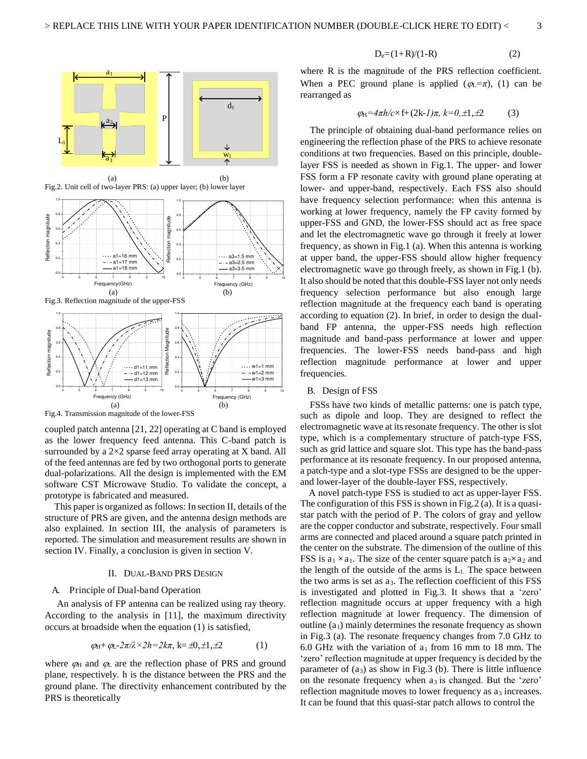

Fig.4. Transmission magnitude of the lower-FSS

coupled patch antenna [21, 22] operating at C band is employed as the lower frequency feed antenna. This C-band patch is surrounded by a  $2\times 2$  sparse feed array operating at X band. All of the feed antennas are fed by two orthogonal ports to generate dual-polarizations. All the design is implemented with the EM software CST Microwave Studio. To validate the concept, a prototype is fabricated and measured.

 $(a)$  (b)

 This paper is organized as follows: In section II, details of the structure of PRS are given, and the antenna design methods are also explained. In section III, the analysis of parameters is reported. The simulation and measurement results are shown in section IV. Finally, a conclusion is given in section V.

#### II. DUAL-BAND PRS DESIGN

#### A. Principle of Dual-band Operation

 An analysis of FP antenna can be realized using ray theory. According to the analysis in [11], the maximum directivity occurs at broadside when the equation (1) is satisfied,

$$
\varphi_{H} + \varphi_{L} - 2\pi/\lambda \times 2h = 2k\pi, k = \pm 0, \pm 1, \pm 2 \tag{1}
$$

where  $\varphi$ <sub>H</sub> and  $\varphi$ <sub>L</sub> are the reflection phase of PRS and ground plane, respectively. h is the distance between the PRS and the ground plane. The directivity enhancement contributed by the PRS is theoretically

$$
D_e = (1+R)/(1-R)
$$
 (2)

where R is the magnitude of the PRS reflection coefficient. When a PEC ground plane is applied  $(\varphi_L = \pi)$ , (1) can be rearranged as

$$
\varphi_H = 4\pi h/c \times f + (2k-l)\pi, k=0,\pm 1,\pm 2
$$
 (3)

The principle of obtaining dual-band performance relies on engineering the reflection phase of the PRS to achieve resonate conditions at two frequencies. Based on this principle, doublelayer FSS is needed as shown in Fig.1. The upper- and lower FSS form a FP resonate cavity with ground plane operating at lower- and upper-band, respectively. Each FSS also should have frequency selection performance: when this antenna is working at lower frequency, namely the FP cavity formed by upper-FSS and GND, the lower-FSS should act as free space and let the electromagnetic wave go through it freely at lower frequency, as shown in Fig.1 (a). When this antenna is working at upper band, the upper-FSS should allow higher frequency electromagnetic wave go through freely, as shown in Fig.1 (b). It also should be noted that this double-FSS layer not only needs frequency selection performance but also enough large reflection magnitude at the frequency each band is operating according to equation (2). In brief, in order to design the dualband FP antenna, the upper-FSS needs high reflection magnitude and band-pass performance at lower and upper frequencies. The lower-FSS needs band-pass and high reflection magnitude performance at lower and upper frequencies.

#### B. Design of FSS

 FSSs have two kinds of metallic patterns: one is patch type, such as dipole and loop. They are designed to reflect the electromagnetic wave at its resonate frequency. The other is slot type, which is a complementary structure of patch-type FSS, such as grid lattice and square slot. This type has the band-pass performance at its resonate frequency. In our proposed antenna, a patch-type and a slot-type FSSs are designed to be the upperand lower-layer of the double-layer FSS, respectively.

A novel patch-type FSS is studied to act as upper-layer FSS. The configuration of this FSS is shown in Fig.2 (a). It is a quasistar patch with the period of P. The colors of gray and yellow are the copper conductor and substrate, respectively. Four small arms are connected and placed around a square patch printed in the center on the substrate. The dimension of the outline of this FSS is  $a_1 \times a_1$ . The size of the center square patch is  $a_2 \times a_2$  and the length of the outside of the arms is  $L_1$ . The space between the two arms is set as  $a_3$ . The reflection coefficient of this  $FSS$ is investigated and plotted in Fig.3. It shows that a 'zero' reflection magnitude occurs at upper frequency with a high reflection magnitude at lower frequency. The dimension of outline  $(a_1)$  mainly determines the resonate frequency as shown in Fig.3 (a). The resonate frequency changes from 7.0 GHz to 6.0 GHz with the variation of  $a_1$  from 16 mm to 18 mm. The 'zero' reflection magnitude at upper frequency is decided by the parameter of  $(a_3)$  as show in Fig.3 (b). There is little influence on the resonate frequency when  $a_3$  is changed. But the 'zero' reflection magnitude moves to lower frequency as  $a_3$  increases. It can be found that this quasi-star patch allows to control the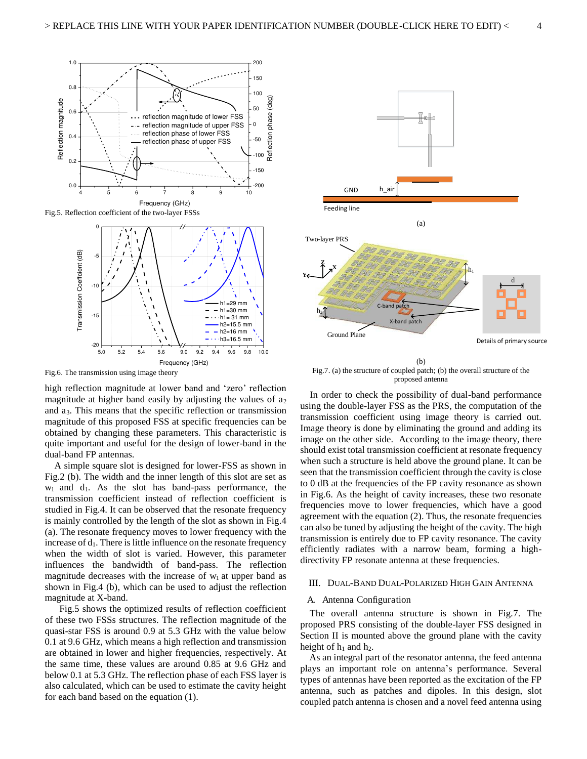

Fig.5. Reflection coefficient of the two-layer FSSs



Fig.6. The transmission using image theory

high reflection magnitude at lower band and 'zero' reflection magnitude at higher band easily by adjusting the values of  $a_2$ and a3. This means that the specific reflection or transmission magnitude of this proposed FSS at specific frequencies can be obtained by changing these parameters. This characteristic is quite important and useful for the design of lower-band in the dual-band FP antennas.

 A simple square slot is designed for lower-FSS as shown in Fig.2 (b). The width and the inner length of this slot are set as  $w_1$  and  $d_1$ . As the slot has band-pass performance, the transmission coefficient instead of reflection coefficient is studied in Fig.4. It can be observed that the resonate frequency is mainly controlled by the length of the slot as shown in Fig.4 (a). The resonate frequency moves to lower frequency with the increase of  $d_1$ . There is little influence on the resonate frequency when the width of slot is varied. However, this parameter influences the bandwidth of band-pass. The reflection magnitude decreases with the increase of  $w_1$  at upper band as shown in Fig.4 (b), which can be used to adjust the reflection magnitude at X-band.

 Fig.5 shows the optimized results of reflection coefficient of these two FSSs structures. The reflection magnitude of the quasi-star FSS is around 0.9 at 5.3 GHz with the value below 0.1 at 9.6 GHz, which means a high reflection and transmission are obtained in lower and higher frequencies, respectively. At the same time, these values are around 0.85 at 9.6 GHz and below 0.1 at 5.3 GHz. The reflection phase of each FSS layer is also calculated, which can be used to estimate the cavity height for each band based on the equation (1).



Fig.7. (a) the structure of coupled patch; (b) the overall structure of the proposed antenna

 In order to check the possibility of dual-band performance using the double-layer FSS as the PRS, the computation of the transmission coefficient using image theory is carried out. Image theory is done by eliminating the ground and adding its image on the other side. According to the image theory, there should exist total transmission coefficient at resonate frequency when such a structure is held above the ground plane. It can be seen that the transmission coefficient through the cavity is close to 0 dB at the frequencies of the FP cavity resonance as shown in Fig.6. As the height of cavity increases, these two resonate frequencies move to lower frequencies, which have a good agreement with the equation (2). Thus, the resonate frequencies can also be tuned by adjusting the height of the cavity. The high transmission is entirely due to FP cavity resonance. The cavity efficiently radiates with a narrow beam, forming a highdirectivity FP resonate antenna at these frequencies.

#### III. DUAL-BAND DUAL-POLARIZED HIGH GAIN ANTENNA

#### A. Antenna Configuration

 The overall antenna structure is shown in Fig.7. The proposed PRS consisting of the double-layer FSS designed in Section II is mounted above the ground plane with the cavity height of  $h_1$  and  $h_2$ .

As an integral part of the resonator antenna, the feed antenna plays an important role on antenna's performance. Several types of antennas have been reported as the excitation of the FP antenna, such as patches and dipoles. In this design, slot coupled patch antenna is chosen and a novel feed antenna using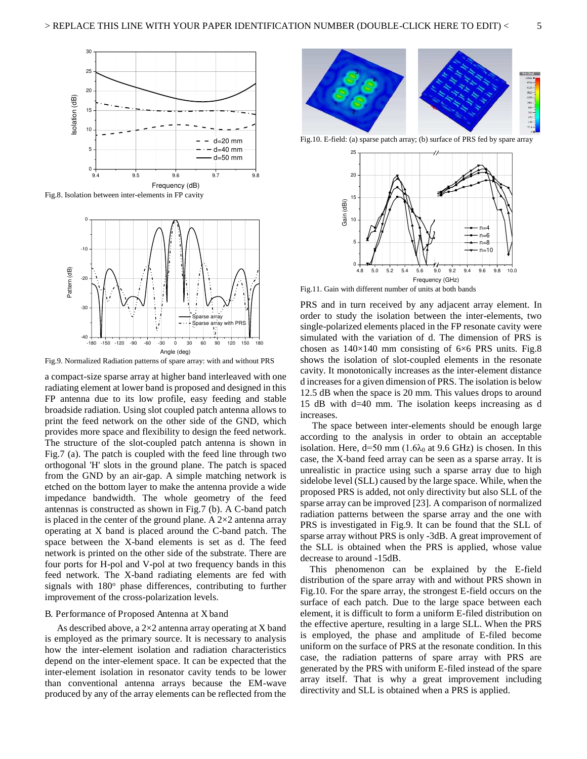

Fig.8. Isolation between inter-elements in FP cavity



Fig.9. Normalized Radiation patterns of spare array: with and without PRS

a compact-size sparse array at higher band interleaved with one radiating element at lower band is proposed and designed in this FP antenna due to its low profile, easy feeding and stable broadside radiation. Using slot coupled patch antenna allows to print the feed network on the other side of the GND, which provides more space and flexibility to design the feed network. The structure of the slot-coupled patch antenna is shown in Fig.7 (a). The patch is coupled with the feed line through two orthogonal 'H' slots in the ground plane. The patch is spaced from the GND by an air-gap. A simple matching network is etched on the bottom layer to make the antenna provide a wide impedance bandwidth. The whole geometry of the feed antennas is constructed as shown in Fig.7 (b). A C-band patch is placed in the center of the ground plane. A  $2\times 2$  antenna array operating at X band is placed around the C-band patch. The space between the X-band elements is set as d. The feed network is printed on the other side of the substrate. There are four ports for H-pol and V-pol at two frequency bands in this feed network. The X-band radiating elements are fed with signals with 180° phase differences, contributing to further improvement of the cross-polarization levels.

#### B. Performance of Proposed Antenna at X band

 As described above, a 2×2 antenna array operating at X band is employed as the primary source. It is necessary to analysis how the inter-element isolation and radiation characteristics depend on the inter-element space. It can be expected that the inter-element isolation in resonator cavity tends to be lower than conventional antenna arrays because the EM-wave produced by any of the array elements can be reflected from the



Fig.10. E-field: (a) sparse patch array; (b) surface of PRS fed by spare array



Fig.11. Gain with different number of units at both bands

PRS and in turn received by any adjacent array element. In order to study the isolation between the inter-elements, two single-polarized elements placed in the FP resonate cavity were simulated with the variation of d. The dimension of PRS is chosen as  $140\times140$  mm consisting of  $6\times6$  PRS units. Fig.8 shows the isolation of slot-coupled elements in the resonate cavity. It monotonically increases as the inter-element distance d increases for a given dimension of PRS. The isolation is below 12.5 dB when the space is 20 mm. This values drops to around 15 dB with d=40 mm. The isolation keeps increasing as d increases.

 The space between inter-elements should be enough large according to the analysis in order to obtain an acceptable isolation. Here,  $d=50$  mm (1.6 $\lambda_0$  at 9.6 GHz) is chosen. In this case, the X-band feed array can be seen as a sparse array. It is unrealistic in practice using such a sparse array due to high sidelobe level (SLL) caused by the large space. While, when the proposed PRS is added, not only directivity but also SLL of the sparse array can be improved [23]. A comparison of normalized radiation patterns between the sparse array and the one with PRS is investigated in Fig.9. It can be found that the SLL of sparse array without PRS is only -3dB. A great improvement of the SLL is obtained when the PRS is applied, whose value decrease to around -15dB.

 This phenomenon can be explained by the E-field distribution of the spare array with and without PRS shown in Fig.10. For the spare array, the strongest E-field occurs on the surface of each patch. Due to the large space between each element, it is difficult to form a uniform E-filed distribution on the effective aperture, resulting in a large SLL. When the PRS is employed, the phase and amplitude of E-filed become uniform on the surface of PRS at the resonate condition. In this case, the radiation patterns of spare array with PRS are generated by the PRS with uniform E-filed instead of the spare array itself. That is why a great improvement including directivity and SLL is obtained when a PRS is applied.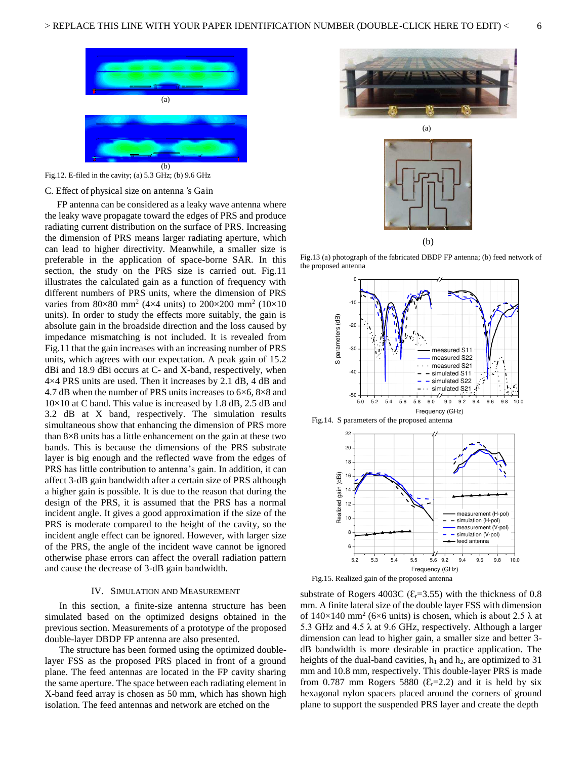



#### C. Effect of physical size on antenna*'*s Gain

 FP antenna can be considered as a leaky wave antenna where the leaky wave propagate toward the edges of PRS and produce radiating current distribution on the surface of PRS. Increasing the dimension of PRS means larger radiating aperture, which can lead to higher directivity. Meanwhile, a smaller size is preferable in the application of space-borne SAR. In this section, the study on the PRS size is carried out. Fig.11 illustrates the calculated gain as a function of frequency with different numbers of PRS units, where the dimension of PRS varies from  $80 \times 80$  mm<sup>2</sup> (4 $\times$ 4 units) to  $200 \times 200$  mm<sup>2</sup> (10 $\times$ 10 units). In order to study the effects more suitably, the gain is absolute gain in the broadside direction and the loss caused by impedance mismatching is not included. It is revealed from Fig.11 that the gain increases with an increasing number of PRS units, which agrees with our expectation. A peak gain of 15.2 dBi and 18.9 dBi occurs at C- and X-band, respectively, when 4×4 PRS units are used. Then it increases by 2.1 dB, 4 dB and 4.7 dB when the number of PRS units increases to  $6\times6$ ,  $8\times8$  and  $10\times10$  at C band. This value is increased by 1.8 dB, 2.5 dB and 3.2 dB at X band, respectively. The simulation results simultaneous show that enhancing the dimension of PRS more than  $8\times 8$  units has a little enhancement on the gain at these two bands. This is because the dimensions of the PRS substrate layer is big enough and the reflected wave from the edges of PRS has little contribution to antenna's gain. In addition, it can affect 3-dB gain bandwidth after a certain size of PRS although a higher gain is possible. It is due to the reason that during the design of the PRS, it is assumed that the PRS has a normal incident angle. It gives a good approximation if the size of the PRS is moderate compared to the height of the cavity, so the incident angle effect can be ignored. However, with larger size of the PRS, the angle of the incident wave cannot be ignored otherwise phase errors can affect the overall radiation pattern and cause the decrease of 3-dB gain bandwidth.

#### IV. SIMULATION AND MEASUREMENT

In this section, a finite-size antenna structure has been simulated based on the optimized designs obtained in the previous section. Measurements of a prototype of the proposed double-layer DBDP FP antenna are also presented.

The structure has been formed using the optimized doublelayer FSS as the proposed PRS placed in front of a ground plane. The feed antennas are located in the FP cavity sharing the same aperture. The space between each radiating element in X-band feed array is chosen as 50 mm, which has shown high isolation. The feed antennas and network are etched on the





Fig.13 (a) photograph of the fabricated DBDP FP antenna; (b) feed network of the proposed antenna







Fig.15. Realized gain of the proposed antenna

substrate of Rogers 4003C ( $\epsilon$ <sub>r</sub>=3.55) with the thickness of 0.8 mm. A finite lateral size of the double layer FSS with dimension of  $140\times140$  mm<sup>2</sup> (6×6 units) is chosen, which is about 2.5  $\lambda$  at 5.3 GHz and 4.5  $\lambda$  at 9.6 GHz, respectively. Although a larger dimension can lead to higher gain, a smaller size and better 3 dB bandwidth is more desirable in practice application. The heights of the dual-band cavities,  $h_1$  and  $h_2$ , are optimized to 31 mm and 10.8 mm, respectively. This double-layer PRS is made from 0.787 mm Rogers 5880 ( $\mathcal{E}_r$ =2.2) and it is held by six hexagonal nylon spacers placed around the corners of ground plane to support the suspended PRS layer and create the depth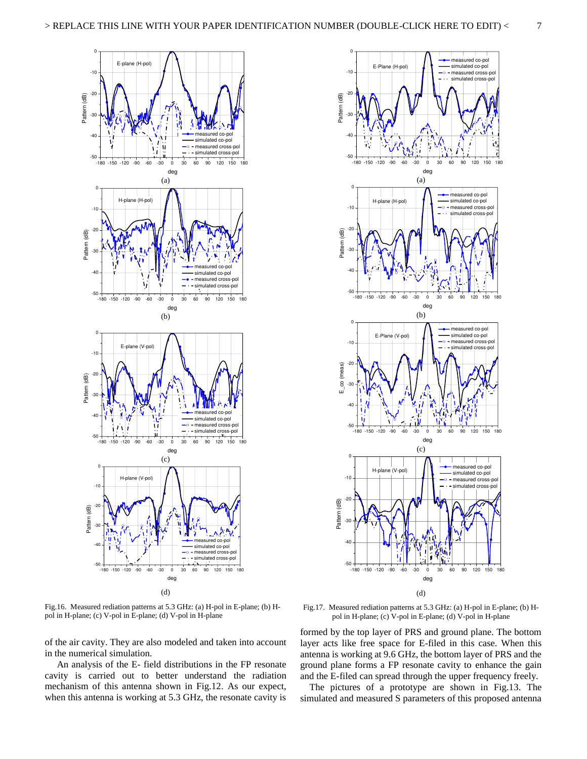



Fig.16. Measured rediation patterns at 5.3 GHz: (a) H-pol in E-plane; (b) Hpol in H-plane; (c) V-pol in E-plane; (d) V-pol in H-plane

of the air cavity. They are also modeled and taken into account in the numerical simulation.

 An analysis of the E- field distributions in the FP resonate cavity is carried out to better understand the radiation mechanism of this antenna shown in Fig.12. As our expect, when this antenna is working at 5.3 GHz, the resonate cavity is

Fig.17. Measured rediation patterns at 5.3 GHz: (a) H-pol in E-plane; (b) Hpol in H-plane; (c) V-pol in E-plane; (d) V-pol in H-plane

formed by the top layer of PRS and ground plane. The bottom layer acts like free space for E-filed in this case. When this antenna is working at 9.6 GHz, the bottom layer of PRS and the ground plane forms a FP resonate cavity to enhance the gain and the E-filed can spread through the upper frequency freely.

The pictures of a prototype are shown in Fig.13. The simulated and measured S parameters of this proposed antenna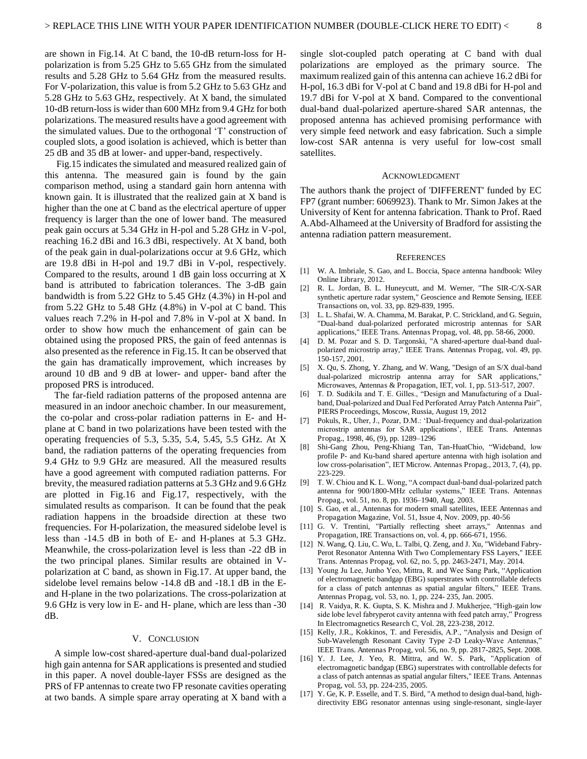are shown in Fig.14. At C band, the 10-dB return-loss for Hpolarization is from 5.25 GHz to 5.65 GHz from the simulated results and 5.28 GHz to 5.64 GHz from the measured results. For V-polarization, this value is from 5.2 GHz to 5.63 GHz and 5.28 GHz to 5.63 GHz, respectively. At X band, the simulated 10-dB return-loss is wider than 600 MHz from 9.4 GHz for both polarizations. The measured results have a good agreement with the simulated values. Due to the orthogonal 'T' construction of coupled slots, a good isolation is achieved, which is better than 25 dB and 35 dB at lower- and upper-band, respectively.

 Fig.15 indicates the simulated and measured realized gain of this antenna. The measured gain is found by the gain comparison method, using a standard gain horn antenna with known gain. It is illustrated that the realized gain at X band is higher than the one at C band as the electrical aperture of upper frequency is larger than the one of lower band. The measured peak gain occurs at 5.34 GHz in H-pol and 5.28 GHz in V-pol, reaching 16.2 dBi and 16.3 dBi, respectively. At X band, both of the peak gain in dual-polarizations occur at 9.6 GHz, which are 19.8 dBi in H-pol and 19.7 dBi in V-pol, respectively. Compared to the results, around 1 dB gain loss occurring at X band is attributed to fabrication tolerances. The 3-dB gain bandwidth is from 5.22 GHz to 5.45 GHz (4.3%) in H-pol and from  $5.22$  GHz to  $5.48$  GHz  $(4.8%)$  in V-pol at C band. This values reach 7.2% in H-pol and 7.8% in V-pol at X band. In order to show how much the enhancement of gain can be obtained using the proposed PRS, the gain of feed antennas is also presented as the reference in Fig.15. It can be observed that the gain has dramatically improvement, which increases by around 10 dB and 9 dB at lower- and upper- band after the proposed PRS is introduced.

 The far-field radiation patterns of the proposed antenna are measured in an indoor anechoic chamber. In our measurement, the co-polar and cross-polar radiation patterns in E- and Hplane at C band in two polarizations have been tested with the operating frequencies of 5.3, 5.35, 5.4, 5.45, 5.5 GHz. At X band, the radiation patterns of the operating frequencies from 9.4 GHz to 9.9 GHz are measured. All the measured results have a good agreement with computed radiation patterns. For brevity, the measured radiation patterns at 5.3 GHz and 9.6 GHz are plotted in Fig.16 and Fig.17, respectively, with the simulated results as comparison. It can be found that the peak radiation happens in the broadside direction at these two frequencies. For H-polarization, the measured sidelobe level is less than -14.5 dB in both of E- and H-planes at 5.3 GHz. Meanwhile, the cross-polarization level is less than -22 dB in the two principal planes. Similar results are obtained in Vpolarization at C band, as shown in Fig.17. At upper band, the sidelobe level remains below -14.8 dB and -18.1 dB in the Eand H-plane in the two polarizations. The cross-polarization at 9.6 GHz is very low in E- and H- plane, which are less than -30 dB.

#### V. CONCLUSION

 A simple low-cost shared-aperture dual-band dual-polarized high gain antenna for SAR applications is presented and studied in this paper. A novel double-layer FSSs are designed as the PRS of FP antennas to create two FP resonate cavities operating at two bands. A simple spare array operating at X band with a single slot-coupled patch operating at C band with dual polarizations are employed as the primary source. The maximum realized gain of this antenna can achieve 16.2 dBi for H-pol, 16.3 dBi for V-pol at C band and 19.8 dBi for H-pol and 19.7 dBi for V-pol at X band. Compared to the conventional dual-band dual-polarized aperture-shared SAR antennas, the proposed antenna has achieved promising performance with very simple feed network and easy fabrication. Such a simple low-cost SAR antenna is very useful for low-cost small satellites.

#### ACKNOWLEDGMENT

The authors thank the project of 'DIFFERENT' funded by EC FP7 (grant number: 6069923). Thank to Mr. Simon Jakes at the University of Kent for antenna fabrication. Thank to Prof. Raed A.Abd-Alhameed at the University of Bradford for assisting the antenna radiation pattern measurement.

#### **REFERENCES**

- [1] W. A. Imbriale, S. Gao, and L. Boccia, Space antenna handbook: Wiley Online Library, 2012.
- [2] R. L. Jordan, B. L. Huneycutt, and M. Werner, "The SIR-C/X-SAR synthetic aperture radar system," Geoscience and Remote Sensing, IEEE Transactions on, vol. 33, pp. 829-839, 1995.
- [3] L. L. Shafai, W. A. Chamma, M. Barakat, P. C. Strickland, and G. Seguin, "Dual-band dual-polarized perforated microstrip antennas for SAR applications," IEEE Trans. Antennas Propag, vol. 48, pp. 58-66, 2000.
- [4] D. M. Pozar and S. D. Targonski, "A shared-aperture dual-band dualpolarized microstrip array," IEEE Trans. Antennas Propag, vol. 49, pp. 150-157, 2001.
- [5] X. Qu, S. Zhong, Y. Zhang, and W. Wang, "Design of an S/X dual-band dual-polarized microstrip antenna array for SAR applications," Microwaves, Antennas & Propagation, IET, vol. 1, pp. 513-517, 2007.
- [6] T. D. Sudikila and T. E. Gilles., "Design and Manufacturing of a Dualband, Dual-polarized and Dual Fed Perforated Array Patch Antenna Pair", PIERS Proceedings, Moscow, Russia, August 19, 2012
- [7] Pokuls, R., Uher, J., Pozar, D.M.: 'Dual-frequency and dual-polarization microstrip antennas for SAR applications', IEEE Trans. Antennas Propag., 1998, 46, (9), pp. 1289–1296
- [8] Shi-Gang Zhou, Peng-Khiang Tan, Tan-HuatChio, "Wideband, low profile P- and Ku-band shared aperture antenna with high isolation and low cross-polarisation", IET Microw. Antennas Propag., 2013, 7, (4), pp. 223-229.
- [9] T. W. Chiou and K. L. Wong, "A compact dual-band dual-polarized patch antenna for 900/1800-MHz cellular systems," IEEE Trans. Antennas Propag., vol. 51, no. 8, pp. 1936–1940, Aug. 2003.
- [10] S. Gao, et al., Antennas for modern small satellites, IEEE Antennas and Propagation Magazine, Vol. 51, Issue 4, Nov. 2009, pp. 40-56
- [11] G. V. Trentini, "Partially reflecting sheet arrays," Antennas and Propagation, IRE Transactions on, vol. 4, pp. 666-671, 1956.
- [12] N. Wang, Q. Liu, C. Wu, L. Talbi, Q. Zeng, and J. Xu, "Wideband Fabry-Perot Resonator Antenna With Two Complementary FSS Layers," IEEE Trans. Antennas Propag, vol. 62, no. 5, pp. 2463-2471, May. 2014.
- [13] Young Ju Lee, Junho Yeo, Mittra, R. and Wee Sang Park, "Application of electromagnetic bandgap (EBG) superstrates with controllable defects for a class of patch antennas as spatial angular filters," IEEE Trans. Antennas Propag, vol. 53, no. 1, pp. 224- 235, Jan. 2005.
- [14] R. Vaidya, R. K. Gupta, S. K. Mishra and J. Mukherjee, "High-gain low side lobe level fabryperot cavity antenna with feed patch array," Progress In Electromagnetics Research C, Vol. 28, 223-238, 2012.
- [15] Kelly, J.R., Kokkinos, T. and Feresidis, A.P., "Analysis and Design of Sub-Wavelength Resonant Cavity Type 2-D Leaky-Wave Antennas," IEEE Trans. Antennas Propag, vol. 56, no. 9, pp. 2817-2825, Sept. 2008.
- [16] Y. J. Lee, J. Yeo, R. Mittra, and W. S. Park, "Application of electromagnetic bandgap (EBG) superstrates with controllable defects for a class of patch antennas as spatial angular filters," IEEE Trans. Antennas Propag, vol. 53, pp. 224-235, 2005.
- [17] Y. Ge, K. P. Esselle, and T. S. Bird, "A method to design dual-band, highdirectivity EBG resonator antennas using single-resonant, single-layer